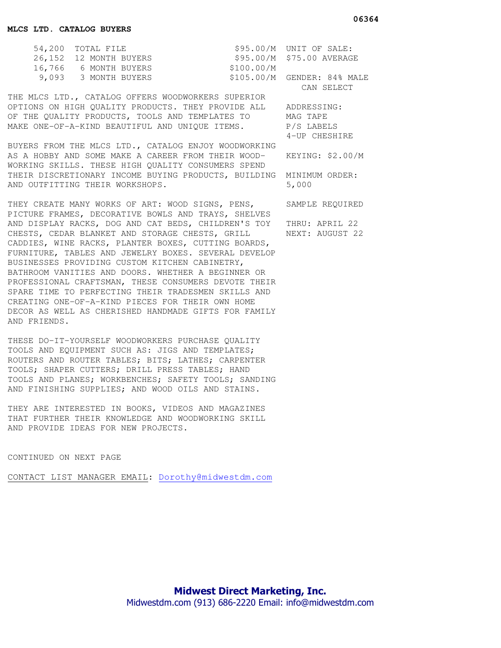| 54,200 TOTAL FILE      |            | $$95.00/M$ UNIT OF SALE:    |
|------------------------|------------|-----------------------------|
| 26,152 12 MONTH BUYERS |            | \$95.00/M \$75.00 AVERAGE   |
| 16,766 6 MONTH BUYERS  | \$100.00/M |                             |
| 9,093 - 3 MONTH BUYERS |            | \$105.00/M GENDER: 84% MALE |

THE MLCS LTD., CATALOG OFFERS WOODWORKERS SUPERIOR OPTIONS ON HIGH QUALITY PRODUCTS. THEY PROVIDE ALL ADDRESSING: OF THE QUALITY PRODUCTS, TOOLS AND TEMPLATES TO MAG TAPE MAKE ONE-OF-A-KIND BEAUTIFUL AND UNIQUE ITEMS. P/S LABELS

BUYERS FROM THE MLCS LTD., CATALOG ENJOY WOODWORKING AS A HOBBY AND SOME MAKE A CAREER FROM THEIR WOOD- KEYING: \$2.00/M WORKING SKILLS. THESE HIGH QUALITY CONSUMERS SPEND THEIR DISCRETIONARY INCOME BUYING PRODUCTS, BUILDING MINIMUM ORDER: AND OUTFITTING THEIR WORKSHOPS. 5,000

THEY CREATE MANY WORKS OF ART: WOOD SIGNS, PENS, SAMPLE REQUIRED PICTURE FRAMES, DECORATIVE BOWLS AND TRAYS, SHELVES AND DISPLAY RACKS, DOG AND CAT BEDS, CHILDREN'S TOY THRU: APRIL 22 CHESTS, CEDAR BLANKET AND STORAGE CHESTS, GRILL NEXT: AUGUST 22 CADDIES, WINE RACKS, PLANTER BOXES, CUTTING BOARDS, FURNITURE, TABLES AND JEWELRY BOXES. SEVERAL DEVELOP BUSINESSES PROVIDING CUSTOM KITCHEN CABINETRY, BATHROOM VANITIES AND DOORS. WHETHER A BEGINNER OR PROFESSIONAL CRAFTSMAN, THESE CONSUMERS DEVOTE THEIR SPARE TIME TO PERFECTING THEIR TRADESMEN SKILLS AND CREATING ONE-OF-A-KIND PIECES FOR THEIR OWN HOME DECOR AS WELL AS CHERISHED HANDMADE GIFTS FOR FAMILY AND FRIENDS.

THESE DO-IT-YOURSELF WOODWORKERS PURCHASE QUALITY TOOLS AND EQUIPMENT SUCH AS: JIGS AND TEMPLATES; ROUTERS AND ROUTER TABLES; BITS; LATHES; CARPENTER TOOLS; SHAPER CUTTERS; DRILL PRESS TABLES; HAND TOOLS AND PLANES; WORKBENCHES; SAFETY TOOLS; SANDING AND FINISHING SUPPLIES; AND WOOD OILS AND STAINS.

THEY ARE INTERESTED IN BOOKS, VIDEOS AND MAGAZINES THAT FURTHER THEIR KNOWLEDGE AND WOODWORKING SKILL AND PROVIDE IDEAS FOR NEW PROJECTS.

CONTINUED ON NEXT PAGE

CONTACT LIST MANAGER EMAIL: Dorothy@midwestdm.com

CAN SELECT

4-UP CHESHIRE

 **06364**